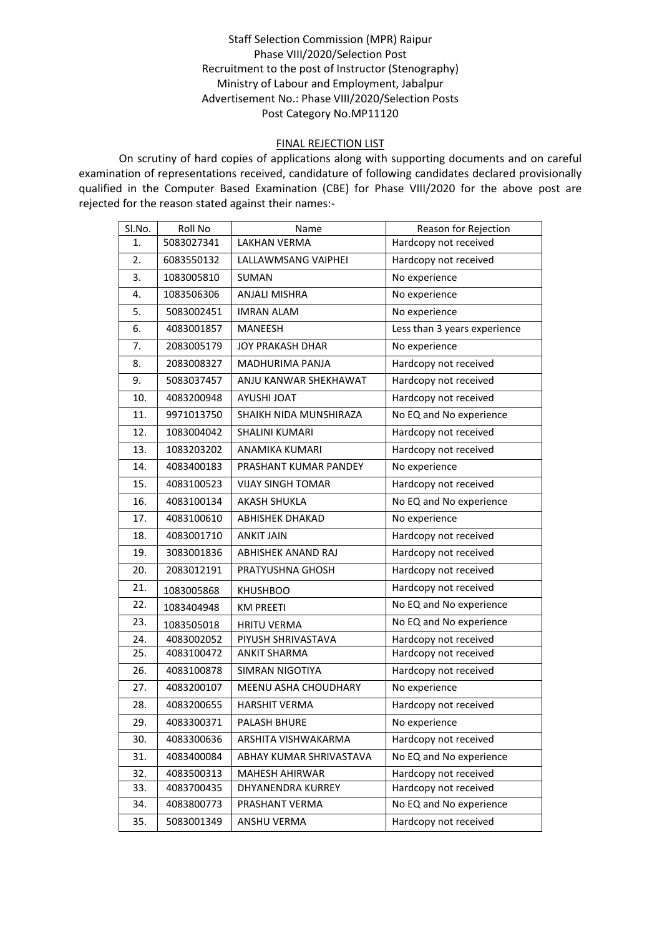## Staff Selection Commission (MPR) Raipur Phase VIII/2020/Selection Post Recruitment to the post of Instructor (Stenography) Ministry of Labour and Employment, Jabalpur Advertisement No.: Phase VIII/2020/Selection Posts Post Category No.MP11120

## FINAL REJECTION LIST

On scrutiny of hard copies of applications along with supporting documents and on careful examination of representations received, candidature of following candidates declared provisionally qualified in the Computer Based Examination (CBE) for Phase VIII/2020 for the above post are rejected for the reason stated against their names:-

| SI.No. | Roll No    | Name                      | Reason for Rejection         |
|--------|------------|---------------------------|------------------------------|
| 1.     | 5083027341 | <b>LAKHAN VERMA</b>       | Hardcopy not received        |
| 2.     | 6083550132 | LALLAWMSANG VAIPHEI       | Hardcopy not received        |
| 3.     | 1083005810 | <b>SUMAN</b>              | No experience                |
| 4.     | 1083506306 | ANJALI MISHRA             | No experience                |
| 5.     | 5083002451 | <b>IMRAN ALAM</b>         | No experience                |
| 6.     | 4083001857 | <b>MANEESH</b>            | Less than 3 years experience |
| 7.     | 2083005179 | <b>JOY PRAKASH DHAR</b>   | No experience                |
| 8.     | 2083008327 | MADHURIMA PANJA           | Hardcopy not received        |
| 9.     | 5083037457 | ANJU KANWAR SHEKHAWAT     | Hardcopy not received        |
| 10.    | 4083200948 | <b>AYUSHI JOAT</b>        | Hardcopy not received        |
| 11.    | 9971013750 | SHAIKH NIDA MUNSHIRAZA    | No EQ and No experience      |
| 12.    | 1083004042 | SHALINI KUMARI            | Hardcopy not received        |
| 13.    | 1083203202 | ANAMIKA KUMARI            | Hardcopy not received        |
| 14.    | 4083400183 | PRASHANT KUMAR PANDEY     | No experience                |
| 15.    | 4083100523 | VIJAY SINGH TOMAR         | Hardcopy not received        |
| 16.    | 4083100134 | <b>AKASH SHUKLA</b>       | No EQ and No experience      |
| 17.    | 4083100610 | ABHISHEK DHAKAD           | No experience                |
| 18.    | 4083001710 | <b>ANKIT JAIN</b>         | Hardcopy not received        |
| 19.    | 3083001836 | <b>ABHISHEK ANAND RAJ</b> | Hardcopy not received        |
| 20.    | 2083012191 | PRATYUSHNA GHOSH          | Hardcopy not received        |
| 21.    | 1083005868 | <b>KHUSHBOO</b>           | Hardcopy not received        |
| 22.    | 1083404948 | <b>KM PREETI</b>          | No EQ and No experience      |
| 23.    | 1083505018 | <b>HRITU VERMA</b>        | No EQ and No experience      |
| 24.    | 4083002052 | PIYUSH SHRIVASTAVA        | Hardcopy not received        |
| 25.    | 4083100472 | <b>ANKIT SHARMA</b>       | Hardcopy not received        |
| 26.    | 4083100878 | <b>SIMRAN NIGOTIYA</b>    | Hardcopy not received        |
| 27.    | 4083200107 | MEENU ASHA CHOUDHARY      | No experience                |
| 28.    | 4083200655 | <b>HARSHIT VERMA</b>      | Hardcopy not received        |
| 29.    | 4083300371 | PALASH BHURE              | No experience                |
| 30.    | 4083300636 | ARSHITA VISHWAKARMA       | Hardcopy not received        |
| 31.    | 4083400084 | ABHAY KUMAR SHRIVASTAVA   | No EQ and No experience      |
| 32.    | 4083500313 | <b>MAHESH AHIRWAR</b>     | Hardcopy not received        |
| 33.    | 4083700435 | DHYANENDRA KURREY         | Hardcopy not received        |
| 34.    | 4083800773 | PRASHANT VERMA            | No EQ and No experience      |
| 35.    | 5083001349 | ANSHU VERMA               | Hardcopy not received        |